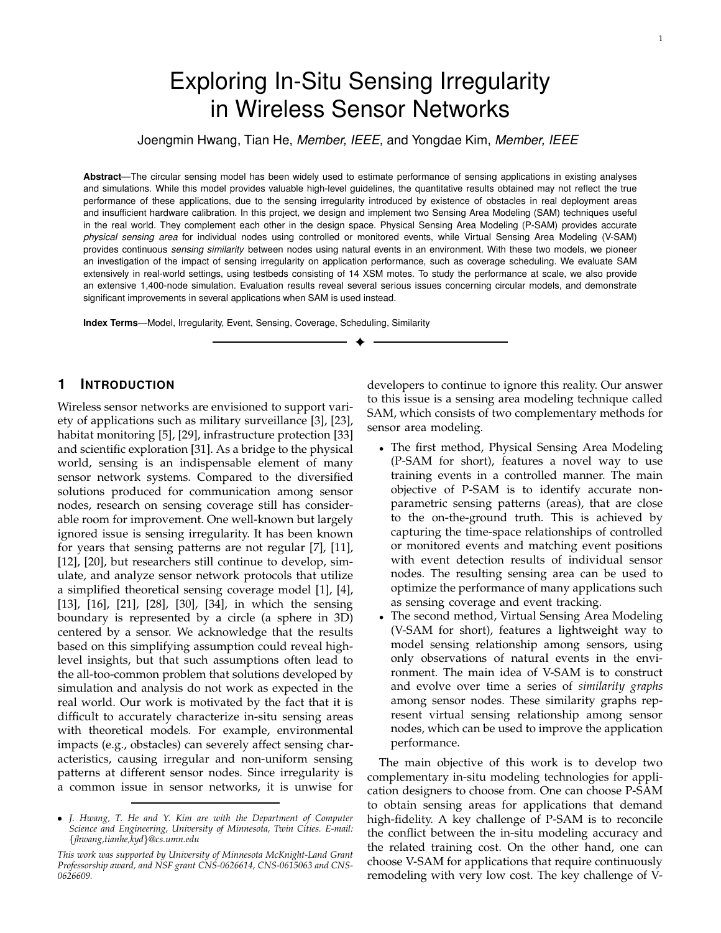# Exploring In-Situ Sensing Irregularity in Wireless Sensor Networks

Joengmin Hwang, Tian He, Member, IEEE, and Yongdae Kim, Member, IEEE

**Abstract**—The circular sensing model has been widely used to estimate performance of sensing applications in existing analyses and simulations. While this model provides valuable high-level guidelines, the quantitative results obtained may not reflect the true performance of these applications, due to the sensing irregularity introduced by existence of obstacles in real deployment areas and insufficient hardware calibration. In this project, we design and implement two Sensing Area Modeling (SAM) techniques useful in the real world. They complement each other in the design space. Physical Sensing Area Modeling (P-SAM) provides accurate physical sensing area for individual nodes using controlled or monitored events, while Virtual Sensing Area Modeling (V-SAM) provides continuous sensing similarity between nodes using natural events in an environment. With these two models, we pioneer an investigation of the impact of sensing irregularity on application performance, such as coverage scheduling. We evaluate SAM extensively in real-world settings, using testbeds consisting of 14 XSM motes. To study the performance at scale, we also provide an extensive 1,400-node simulation. Evaluation results reveal several serious issues concerning circular models, and demonstrate significant improvements in several applications when SAM is used instead.

✦

**Index Terms**—Model, Irregularity, Event, Sensing, Coverage, Scheduling, Similarity

# **1 INTRODUCTION**

Wireless sensor networks are envisioned to support variety of applications such as military surveillance [3], [23], habitat monitoring [5], [29], infrastructure protection [33] and scientific exploration [31]. As a bridge to the physical world, sensing is an indispensable element of many sensor network systems. Compared to the diversified solutions produced for communication among sensor nodes, research on sensing coverage still has considerable room for improvement. One well-known but largely ignored issue is sensing irregularity. It has been known for years that sensing patterns are not regular [7], [11], [12], [20], but researchers still continue to develop, simulate, and analyze sensor network protocols that utilize a simplified theoretical sensing coverage model [1], [4], [13], [16], [21], [28], [30], [34], in which the sensing boundary is represented by a circle (a sphere in 3D) centered by a sensor. We acknowledge that the results based on this simplifying assumption could reveal highlevel insights, but that such assumptions often lead to the all-too-common problem that solutions developed by simulation and analysis do not work as expected in the real world. Our work is motivated by the fact that it is difficult to accurately characterize in-situ sensing areas with theoretical models. For example, environmental impacts (e.g., obstacles) can severely affect sensing characteristics, causing irregular and non-uniform sensing patterns at different sensor nodes. Since irregularity is a common issue in sensor networks, it is unwise for

developers to continue to ignore this reality. Our answer to this issue is a sensing area modeling technique called SAM, which consists of two complementary methods for sensor area modeling.

- The first method, Physical Sensing Area Modeling (P-SAM for short), features a novel way to use training events in a controlled manner. The main objective of P-SAM is to identify accurate nonparametric sensing patterns (areas), that are close to the on-the-ground truth. This is achieved by capturing the time-space relationships of controlled or monitored events and matching event positions with event detection results of individual sensor nodes. The resulting sensing area can be used to optimize the performance of many applications such as sensing coverage and event tracking.
- The second method, Virtual Sensing Area Modeling (V-SAM for short), features a lightweight way to model sensing relationship among sensors, using only observations of natural events in the environment. The main idea of V-SAM is to construct and evolve over time a series of *similarity graphs* among sensor nodes. These similarity graphs represent virtual sensing relationship among sensor nodes, which can be used to improve the application performance.

The main objective of this work is to develop two complementary in-situ modeling technologies for application designers to choose from. One can choose P-SAM to obtain sensing areas for applications that demand high-fidelity. A key challenge of P-SAM is to reconcile the conflict between the in-situ modeling accuracy and the related training cost. On the other hand, one can choose V-SAM for applications that require continuously remodeling with very low cost. The key challenge of V-

<sup>•</sup> *J. Hwang, T. He and Y. Kim are with the Department of Computer Science and Engineering, University of Minnesota, Twin Cities. E-mail:* {*jhwang,tianhe,kyd*}*@cs.umn.edu*

*This work was supported by University of Minnesota McKnight-Land Grant Professorship award, and NSF grant CNS-0626614, CNS-0615063 and CNS-0626609.*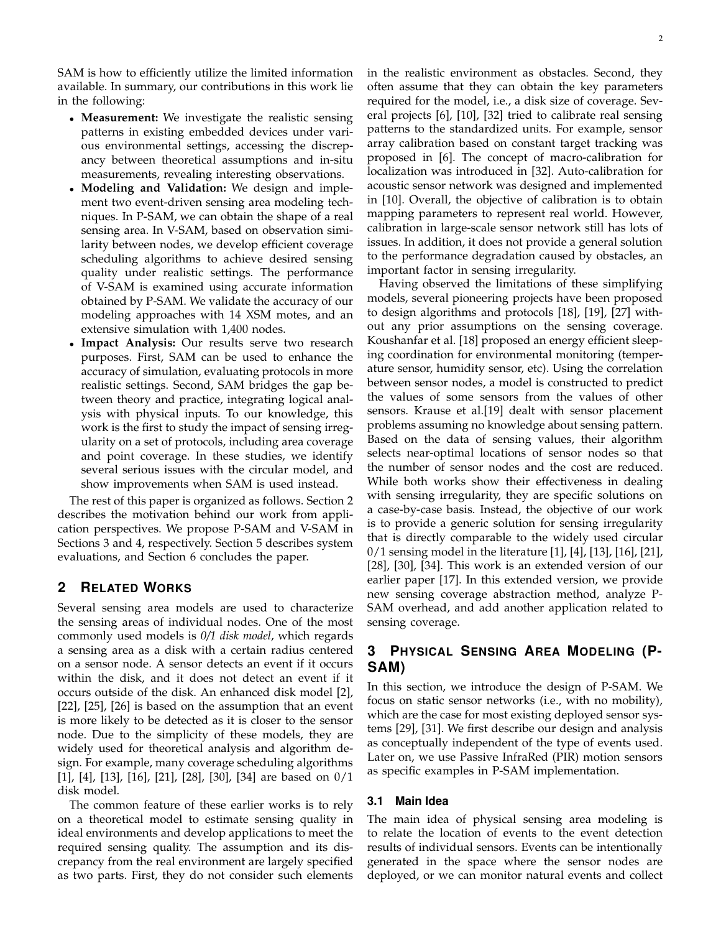SAM is how to efficiently utilize the limited information available. In summary, our contributions in this work lie in the following:

- **Measurement:** We investigate the realistic sensing patterns in existing embedded devices under various environmental settings, accessing the discrepancy between theoretical assumptions and in-situ measurements, revealing interesting observations.
- **Modeling and Validation:** We design and implement two event-driven sensing area modeling techniques. In P-SAM, we can obtain the shape of a real sensing area. In V-SAM, based on observation similarity between nodes, we develop efficient coverage scheduling algorithms to achieve desired sensing quality under realistic settings. The performance of V-SAM is examined using accurate information obtained by P-SAM. We validate the accuracy of our modeling approaches with 14 XSM motes, and an extensive simulation with 1,400 nodes.
- **Impact Analysis:** Our results serve two research purposes. First, SAM can be used to enhance the accuracy of simulation, evaluating protocols in more realistic settings. Second, SAM bridges the gap between theory and practice, integrating logical analysis with physical inputs. To our knowledge, this work is the first to study the impact of sensing irregularity on a set of protocols, including area coverage and point coverage. In these studies, we identify several serious issues with the circular model, and show improvements when SAM is used instead.

The rest of this paper is organized as follows. Section 2 describes the motivation behind our work from application perspectives. We propose P-SAM and V-SAM in Sections 3 and 4, respectively. Section 5 describes system evaluations, and Section 6 concludes the paper.

# **2 RELATED WORKS**

Several sensing area models are used to characterize the sensing areas of individual nodes. One of the most commonly used models is *0/1 disk model*, which regards a sensing area as a disk with a certain radius centered on a sensor node. A sensor detects an event if it occurs within the disk, and it does not detect an event if it occurs outside of the disk. An enhanced disk model [2], [22], [25], [26] is based on the assumption that an event is more likely to be detected as it is closer to the sensor node. Due to the simplicity of these models, they are widely used for theoretical analysis and algorithm design. For example, many coverage scheduling algorithms [1], [4], [13], [16], [21], [28], [30], [34] are based on 0/1 disk model.

The common feature of these earlier works is to rely on a theoretical model to estimate sensing quality in ideal environments and develop applications to meet the required sensing quality. The assumption and its discrepancy from the real environment are largely specified as two parts. First, they do not consider such elements in the realistic environment as obstacles. Second, they often assume that they can obtain the key parameters required for the model, i.e., a disk size of coverage. Several projects [6], [10], [32] tried to calibrate real sensing patterns to the standardized units. For example, sensor array calibration based on constant target tracking was proposed in [6]. The concept of macro-calibration for localization was introduced in [32]. Auto-calibration for acoustic sensor network was designed and implemented in [10]. Overall, the objective of calibration is to obtain mapping parameters to represent real world. However, calibration in large-scale sensor network still has lots of issues. In addition, it does not provide a general solution to the performance degradation caused by obstacles, an important factor in sensing irregularity.

Having observed the limitations of these simplifying models, several pioneering projects have been proposed to design algorithms and protocols [18], [19], [27] without any prior assumptions on the sensing coverage. Koushanfar et al. [18] proposed an energy efficient sleeping coordination for environmental monitoring (temperature sensor, humidity sensor, etc). Using the correlation between sensor nodes, a model is constructed to predict the values of some sensors from the values of other sensors. Krause et al.[19] dealt with sensor placement problems assuming no knowledge about sensing pattern. Based on the data of sensing values, their algorithm selects near-optimal locations of sensor nodes so that the number of sensor nodes and the cost are reduced. While both works show their effectiveness in dealing with sensing irregularity, they are specific solutions on a case-by-case basis. Instead, the objective of our work is to provide a generic solution for sensing irregularity that is directly comparable to the widely used circular 0/1 sensing model in the literature [1], [4], [13], [16], [21], [28], [30], [34]. This work is an extended version of our earlier paper [17]. In this extended version, we provide new sensing coverage abstraction method, analyze P-SAM overhead, and add another application related to sensing coverage.

# **3 PHYSICAL SENSING AREA MODELING (P-SAM)**

In this section, we introduce the design of P-SAM. We focus on static sensor networks (i.e., with no mobility), which are the case for most existing deployed sensor systems [29], [31]. We first describe our design and analysis as conceptually independent of the type of events used. Later on, we use Passive InfraRed (PIR) motion sensors as specific examples in P-SAM implementation.

# **3.1 Main Idea**

The main idea of physical sensing area modeling is to relate the location of events to the event detection results of individual sensors. Events can be intentionally generated in the space where the sensor nodes are deployed, or we can monitor natural events and collect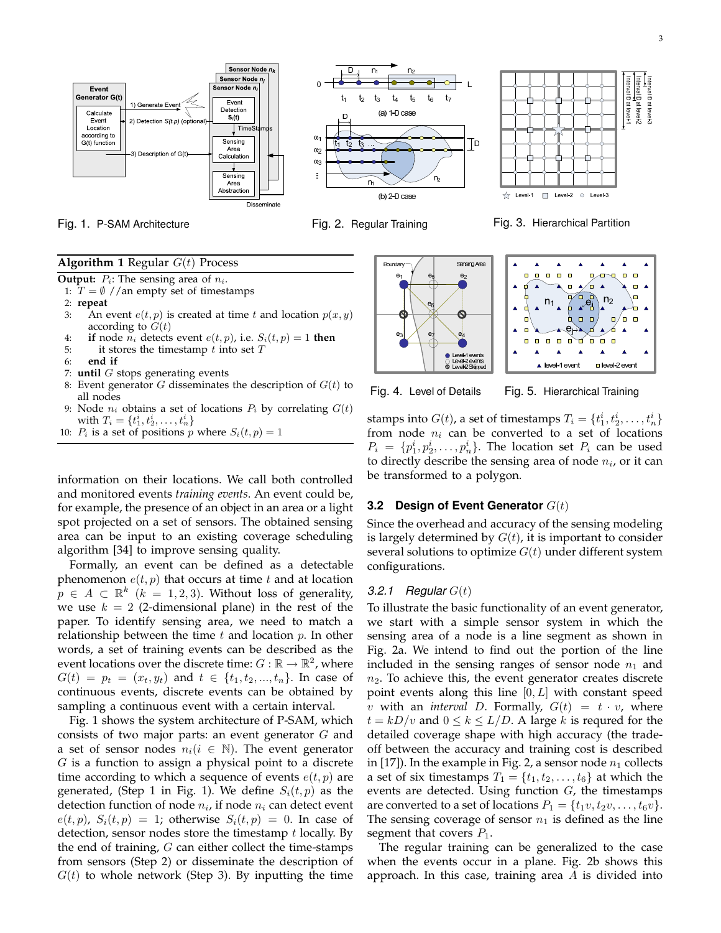Sensor Node n Sensor Node<sub>n</sub> Sensor Node n Event Generator G(t) Event 1) Generate Event Detection Calculate  $S_i(t)$ Event 2) Detection S(t.p) (optic  $\overline{\mathsf{I}}$  TimeS Location according to  $G(t)$  function Sensing Area 3) Description of G(t) Calculation Sensing Area bstractio Disseminate





Fig. 1. P-SAM Architecture Fig. 2. Regular Training Fig. 3. Hierarchical Partition

#### **Algorithm 1** Regular  $G(t)$  Process

**Output:**  $P_i$ : The sensing area of  $n_i$ .

1:  $T = \emptyset$  //an empty set of timestamps

2: **repeat**

- 3: An event  $e(t, p)$  is created at time t and location  $p(x, y)$ according to  $G(t)$
- 4: **if** node  $n_i$  detects event  $e(t, p)$ , i.e.  $S_i(t, p) = 1$  then
- 5: it stores the timestamp  $t$  into set  $T$
- 6: **end if**
- 7: **until** G stops generating events
- 8: Event generator G disseminates the description of  $G(t)$  to all nodes
- 9: Node  $n_i$  obtains a set of locations  $P_i$  by correlating  $G(t)$ with  $T_i = \{t_1^i, t_2^i, \dots, t_n^i\}$
- 10:  $P_i$  is a set of positions p where  $S_i(t, p) = 1$

information on their locations. We call both controlled and monitored events *training events*. An event could be, for example, the presence of an object in an area or a light spot projected on a set of sensors. The obtained sensing area can be input to an existing coverage scheduling algorithm [34] to improve sensing quality.

Formally, an event can be defined as a detectable phenomenon  $e(t, p)$  that occurs at time t and at location  $p \in A \subset \mathbb{R}^k$   $(k = 1, 2, 3)$ . Without loss of generality, we use  $k = 2$  (2-dimensional plane) in the rest of the paper. To identify sensing area, we need to match a relationship between the time  $t$  and location  $p$ . In other words, a set of training events can be described as the event locations over the discrete time:  $G : \mathbb{R} \to \mathbb{R}^2$ , where  $G(t) = p_t = (x_t, y_t)$  and  $t \in \{t_1, t_2, ..., t_n\}$ . In case of continuous events, discrete events can be obtained by sampling a continuous event with a certain interval.

Fig. 1 shows the system architecture of P-SAM, which consists of two major parts: an event generator G and a set of sensor nodes  $n_i (i \in \mathbb{N})$ . The event generator  $G$  is a function to assign a physical point to a discrete time according to which a sequence of events  $e(t, p)$  are generated, (Step 1 in Fig. 1). We define  $S_i(t, p)$  as the detection function of node  $n_i$ , if node  $n_i$  can detect event  $e(t, p)$ ,  $S_i(t, p) = 1$ ; otherwise  $S_i(t, p) = 0$ . In case of detection, sensor nodes store the timestamp  $t$  locally. By the end of training,  $G$  can either collect the time-stamps from sensors (Step 2) or disseminate the description of  $G(t)$  to whole network (Step 3). By inputting the time





Fig. 4. Level of Details Fig. 5. Hierarchical Training

stamps into  $G(t)$ , a set of timestamps  $T_i = \{t_1^i, t_2^i, \ldots, t_n^i\}$ from node  $n_i$  can be converted to a set of locations  $P_i = \{p_1^i, p_2^i, \ldots, p_n^i\}$ . The location set  $P_i$  can be used to directly describe the sensing area of node  $n_i$ , or it can be transformed to a polygon.

### **3.2 Design of Event Generator** G(t)

Since the overhead and accuracy of the sensing modeling is largely determined by  $G(t)$ , it is important to consider several solutions to optimize  $G(t)$  under different system configurations.

#### 3.2.1 Regular  $G(t)$

To illustrate the basic functionality of an event generator, we start with a simple sensor system in which the sensing area of a node is a line segment as shown in Fig. 2a. We intend to find out the portion of the line included in the sensing ranges of sensor node  $n_1$  and  $n<sub>2</sub>$ . To achieve this, the event generator creates discrete point events along this line  $[0, L]$  with constant speed v with an *interval* D. Formally,  $G(t) = t \cdot v$ , where  $t = kD/v$  and  $0 \le k \le L/D$ . A large k is requred for the detailed coverage shape with high accuracy (the tradeoff between the accuracy and training cost is described in [17]). In the example in Fig. 2, a sensor node  $n_1$  collects a set of six timestamps  $T_1 = \{t_1, t_2, \ldots, t_6\}$  at which the events are detected. Using function  $G$ , the timestamps are converted to a set of locations  $P_1 = \{t_1v, t_2v, \ldots, t_6v\}.$ The sensing coverage of sensor  $n_1$  is defined as the line segment that covers  $P_1$ .

The regular training can be generalized to the case when the events occur in a plane. Fig. 2b shows this approach. In this case, training area  $A$  is divided into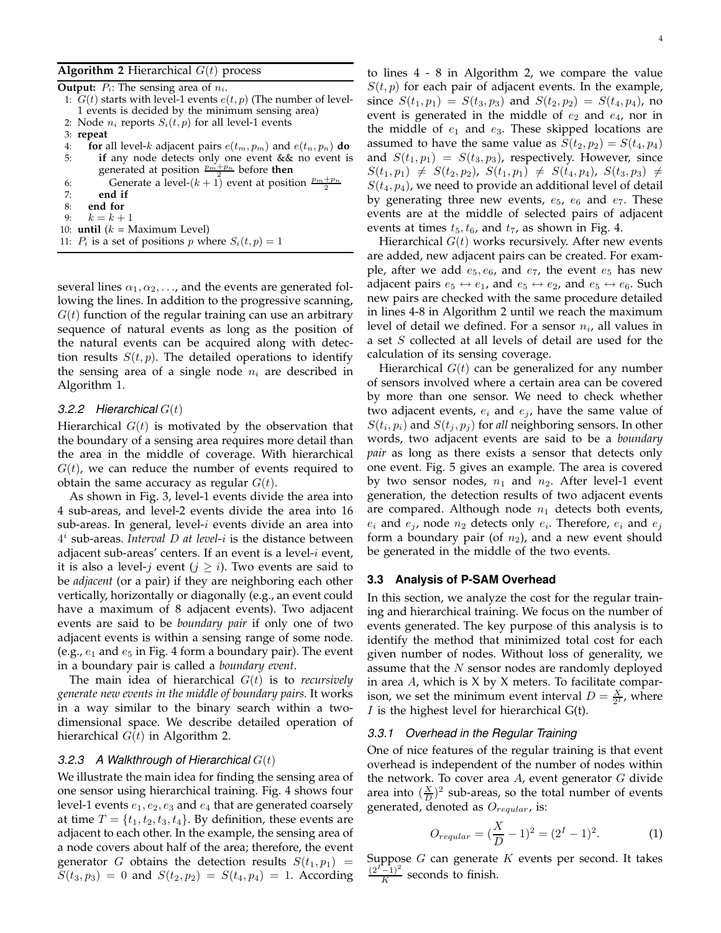#### **Algorithm 2** Hierarchical  $G(t)$  process

|    | <b>Output:</b> $P_i$ : The sensing area of $n_i$ .                   |
|----|----------------------------------------------------------------------|
|    | 1: $G(t)$ starts with level-1 events $e(t, p)$ (The number of level- |
|    | 1 events is decided by the minimum sensing area)                     |
|    | 2: Node $n_i$ reports $S_i(t, p)$ for all level-1 events             |
|    | $3:$ repeat                                                          |
| 4: | for all level-k adjacent pairs $e(t_m, p_m)$ and $e(t_n, p_n)$ do    |
| 5: | if any node detects only one event & & no event is                   |
|    | generated at position $\frac{p_m+p_n}{2}$ before then                |
| 6: | Generate a level- $(k + 1)$ event at position $\frac{p_m + p_n}{2}$  |
| 7: | end if                                                               |
| 8: | end for                                                              |
|    | 9: $k = k + 1$                                                       |
|    | 10: <b>until</b> $(k = \text{Maximum Level})$                        |
|    | 11: $P_i$ is a set of positions p where $S_i(t, p) = 1$              |
|    |                                                                      |

several lines  $\alpha_1, \alpha_2, \ldots$ , and the events are generated following the lines. In addition to the progressive scanning,  $G(t)$  function of the regular training can use an arbitrary sequence of natural events as long as the position of the natural events can be acquired along with detection results  $S(t, p)$ . The detailed operations to identify the sensing area of a single node  $n_i$  are described in Algorithm 1.

#### 3.2.2 Hierarchical  $G(t)$

Hierarchical  $G(t)$  is motivated by the observation that the boundary of a sensing area requires more detail than the area in the middle of coverage. With hierarchical  $G(t)$ , we can reduce the number of events required to obtain the same accuracy as regular  $G(t)$ .

As shown in Fig. 3, level-1 events divide the area into 4 sub-areas, and level-2 events divide the area into 16 sub-areas. In general, level- $i$  events divide an area into 4 i sub-areas. *Interval* D *at level*-i is the distance between adjacent sub-areas' centers. If an event is a level-i event, it is also a level-*j* event ( $j \geq i$ ). Two events are said to be *adjacent* (or a pair) if they are neighboring each other vertically, horizontally or diagonally (e.g., an event could have a maximum of 8 adjacent events). Two adjacent events are said to be *boundary pair* if only one of two adjacent events is within a sensing range of some node. (e.g.,  $e_1$  and  $e_5$  in Fig. 4 form a boundary pair). The event in a boundary pair is called a *boundary event*.

The main idea of hierarchical G(t) is to *recursively generate new events in the middle of boundary pairs.* It works in a way similar to the binary search within a twodimensional space. We describe detailed operation of hierarchical  $G(t)$  in Algorithm 2.

#### 3.2.3 A Walkthrough of Hierarchical  $G(t)$

We illustrate the main idea for finding the sensing area of one sensor using hierarchical training. Fig. 4 shows four level-1 events  $e_1, e_2, e_3$  and  $e_4$  that are generated coarsely at time  $T = \{t_1, t_2, t_3, t_4\}$ . By definition, these events are adjacent to each other. In the example, the sensing area of a node covers about half of the area; therefore, the event generator G obtains the detection results  $S(t_1, p_1)$  =  $S(t_3, p_3) = 0$  and  $S(t_2, p_2) = S(t_4, p_4) = 1$ . According

to lines 4 - 8 in Algorithm 2, we compare the value  $S(t, p)$  for each pair of adjacent events. In the example, since  $S(t_1, p_1) = S(t_3, p_3)$  and  $S(t_2, p_2) = S(t_4, p_4)$ , no event is generated in the middle of  $e_2$  and  $e_4$ , nor in the middle of  $e_1$  and  $e_3$ . These skipped locations are assumed to have the same value as  $S(t_2, p_2) = S(t_4, p_4)$ and  $S(t_1, p_1) = S(t_3, p_3)$ , respectively. However, since  $S(t_1, p_1) \neq S(t_2, p_2)$ ,  $S(t_1, p_1) \neq S(t_4, p_4)$ ,  $S(t_3, p_3) \neq$  $S(t_4, p_4)$ , we need to provide an additional level of detail by generating three new events,  $e_5$ ,  $e_6$  and  $e_7$ . These events are at the middle of selected pairs of adjacent events at times  $t_5, t_6$ , and  $t_7$ , as shown in Fig. 4.

Hierarchical  $G(t)$  works recursively. After new events are added, new adjacent pairs can be created. For example, after we add  $e_5, e_6$ , and  $e_7$ , the event  $e_5$  has new adjacent pairs  $e_5 \leftrightarrow e_1$ , and  $e_5 \leftrightarrow e_2$ , and  $e_5 \leftrightarrow e_6$ . Such new pairs are checked with the same procedure detailed in lines 4-8 in Algorithm 2 until we reach the maximum level of detail we defined. For a sensor  $n_i$ , all values in a set S collected at all levels of detail are used for the calculation of its sensing coverage.

Hierarchical  $G(t)$  can be generalized for any number of sensors involved where a certain area can be covered by more than one sensor. We need to check whether two adjacent events,  $e_i$  and  $e_j$ , have the same value of  $S(t_i, p_i)$  and  $S(t_j, p_j)$  for *all* neighboring sensors. In other words, two adjacent events are said to be a *boundary pair* as long as there exists a sensor that detects only one event. Fig. 5 gives an example. The area is covered by two sensor nodes,  $n_1$  and  $n_2$ . After level-1 event generation, the detection results of two adjacent events are compared. Although node  $n_1$  detects both events,  $e_i$  and  $e_j$ , node  $n_2$  detects only  $e_i$ . Therefore,  $e_i$  and  $e_j$ form a boundary pair (of  $n_2$ ), and a new event should be generated in the middle of the two events.

#### **3.3 Analysis of P-SAM Overhead**

In this section, we analyze the cost for the regular training and hierarchical training. We focus on the number of events generated. The key purpose of this analysis is to identify the method that minimized total cost for each given number of nodes. Without loss of generality, we assume that the N sensor nodes are randomly deployed in area  $A$ , which is  $X$  by  $X$  meters. To facilitate comparison, we set the minimum event interval  $D = \frac{X}{2^I}$ , where I is the highest level for hierarchical  $G(t)$ .

#### 3.3.1 Overhead in the Regular Training

One of nice features of the regular training is that event overhead is independent of the number of nodes within the network. To cover area  $A$ , event generator  $G$  divide area into  $(\frac{X}{D})^2$  sub-areas, so the total number of events generated, denoted as  $O_{regular}$ , is:

$$
O_{regular} = \left(\frac{X}{D} - 1\right)^2 = \left(2^I - 1\right)^2. \tag{1}
$$

Suppose  $G$  can generate  $K$  events per second. It takes  $\frac{(2^{I^{\prime}-1})^2}{K}$  seconds to finish.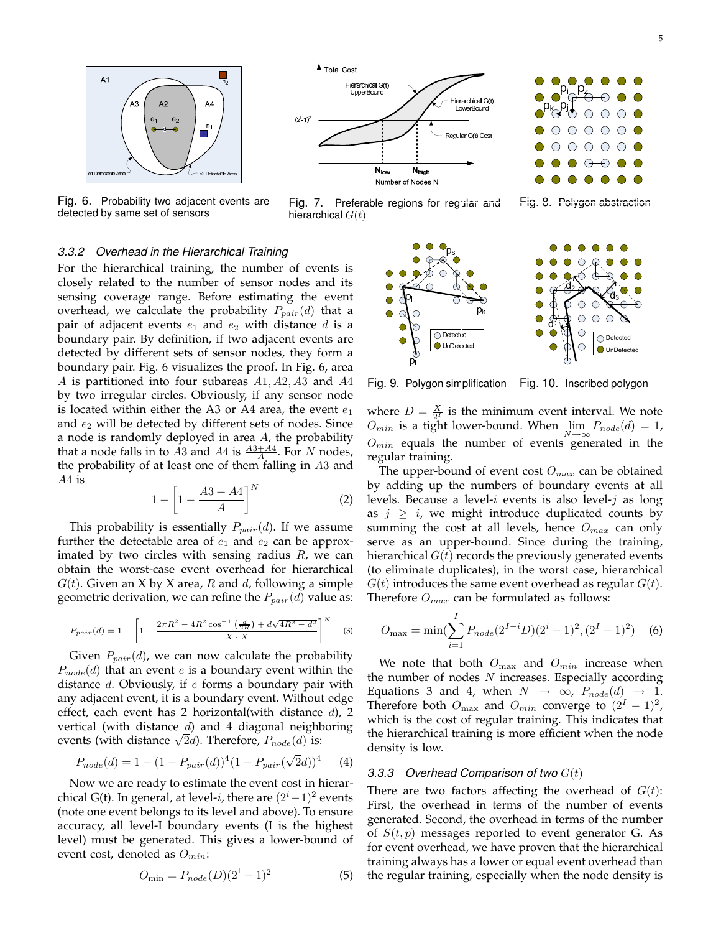

Fig. 6. Probability two adjacent events are detected by same set of sensors



Fig. 7. Preferable regions for regular and hierarchical  $G(t)$ 



Fig. 8. Polygon abstraction

#### 3.3.2 Overhead in the Hierarchical Training

For the hierarchical training, the number of events is closely related to the number of sensor nodes and its sensing coverage range. Before estimating the event overhead, we calculate the probability  $P_{pair}(d)$  that a pair of adjacent events  $e_1$  and  $e_2$  with distance d is a boundary pair. By definition, if two adjacent events are detected by different sets of sensor nodes, they form a boundary pair. Fig. 6 visualizes the proof. In Fig. 6, area A is partitioned into four subareas A1, A2, A3 and A4 by two irregular circles. Obviously, if any sensor node is located within either the A3 or A4 area, the event  $e_1$ and  $e_2$  will be detected by different sets of nodes. Since a node is randomly deployed in area  $A$ , the probability that a node falls in to  $\overline{A}3$  and  $\overline{A}4$  is  $\frac{A3+A4}{\overline{A}}$ . For N nodes, the probability of at least one of them falling in A3 and A4 is

$$
1 - \left[1 - \frac{A3 + A4}{A}\right]^N\tag{2}
$$

This probability is essentially  $P_{pair}(d)$ . If we assume further the detectable area of  $e_1$  and  $e_2$  can be approximated by two circles with sensing radius  $R$ , we can obtain the worst-case event overhead for hierarchical  $G(t)$ . Given an X by X area, R and d, following a simple geometric derivation, we can refine the  $P_{pair}(d)$  value as:

$$
P_{pair}(d) = 1 - \left[1 - \frac{2\pi R^2 - 4R^2 \cos^{-1}\left(\frac{d}{2R}\right) + d\sqrt{4R^2 - d^2}}{X \cdot X}\right]^N \tag{3}
$$

Given  $P_{pair}(d)$ , we can now calculate the probability  $P_{node}(d)$  that an event e is a boundary event within the distance  $d$ . Obviously, if  $e$  forms a boundary pair with any adjacent event, it is a boundary event. Without edge effect, each event has 2 horizontal(with distance  $d$ ), 2 vertical (with distance  $d$ ) and 4 diagonal neighboring events (with distance  $\sqrt{2}d$ ). Therefore,  $P_{node}(d)$  is:

$$
P_{node}(d) = 1 - (1 - P_{pair}(d))^4 (1 - P_{pair}(\sqrt{2}d))^4
$$
 (4)

Now we are ready to estimate the event cost in hierarchical G(t). In general, at level-*i*, there are  $(2<sup>i</sup> - 1)<sup>2</sup>$  events (note one event belongs to its level and above). To ensure accuracy, all level-I boundary events (I is the highest level) must be generated. This gives a lower-bound of event cost, denoted as  $O_{min}$ :

$$
O_{\min} = P_{node}(D)(2^I - 1)^2
$$
 (5)



Fig. 9. Polygon simplification Fig. 10. Inscribed polygon

where  $D = \frac{X}{2^I}$  is the minimum event interval. We note  $O_{min}$  is a tight lower-bound. When  $\lim_{M \to \infty} P_{node}(d) = 1$ ,  $O_{min}$  equals the number of events generated in the regular training.

The upper-bound of event cost  $O_{max}$  can be obtained by adding up the numbers of boundary events at all levels. Because a level-i events is also level-j as long as  $j \geq i$ , we might introduce duplicated counts by summing the cost at all levels, hence  $O_{max}$  can only serve as an upper-bound. Since during the training, hierarchical  $G(t)$  records the previously generated events (to eliminate duplicates), in the worst case, hierarchical  $G(t)$  introduces the same event overhead as regular  $G(t)$ . Therefore  $O_{max}$  can be formulated as follows:

$$
O_{\max} = \min(\sum_{i=1}^{I} P_{node}(2^{I-i}D)(2^{i}-1)^{2}, (2^{I}-1)^{2})
$$
 (6)

We note that both  $O_{\text{max}}$  and  $O_{\text{min}}$  increase when the number of nodes  $N$  increases. Especially according Equations 3 and 4, when  $N \rightarrow \infty$ ,  $P_{node}(d) \rightarrow 1$ . Therefore both  $O_{\text{max}}$  and  $O_{\text{min}}$  converge to  $(2^I - 1)^2$ , which is the cost of regular training. This indicates that the hierarchical training is more efficient when the node density is low.

#### 3.3.3 Overhead Comparison of two  $G(t)$

There are two factors affecting the overhead of  $G(t)$ : First, the overhead in terms of the number of events generated. Second, the overhead in terms of the number of  $S(t, p)$  messages reported to event generator G. As for event overhead, we have proven that the hierarchical training always has a lower or equal event overhead than the regular training, especially when the node density is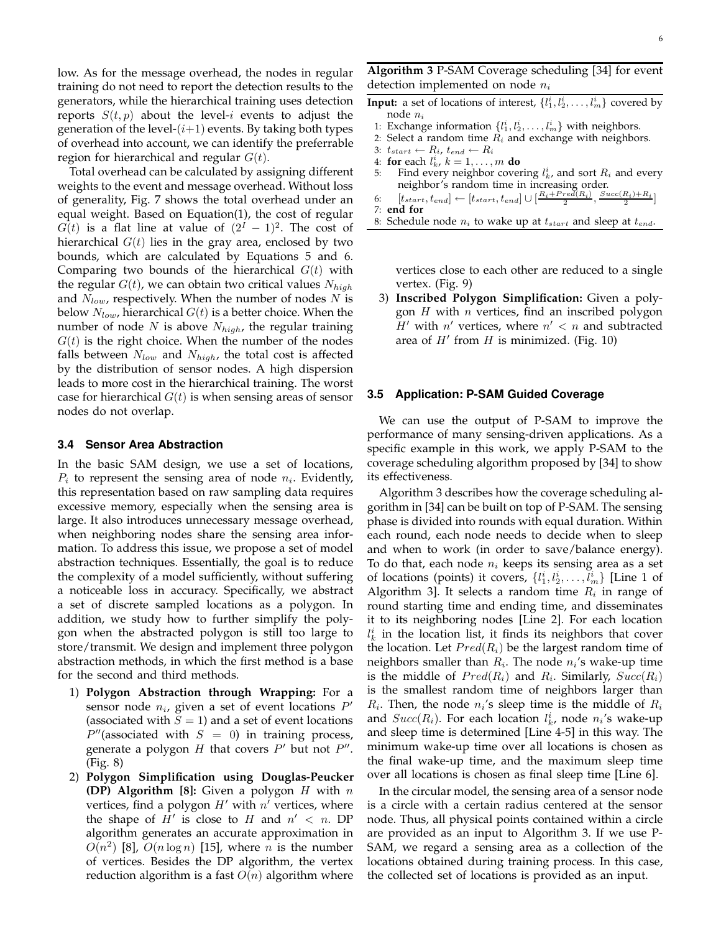low. As for the message overhead, the nodes in regular training do not need to report the detection results to the generators, while the hierarchical training uses detection reports  $S(t, p)$  about the level-i events to adjust the generation of the level- $(i+1)$  events. By taking both types of overhead into account, we can identify the preferrable region for hierarchical and regular  $G(t)$ .

Total overhead can be calculated by assigning different weights to the event and message overhead. Without loss of generality, Fig. 7 shows the total overhead under an equal weight. Based on Equation(1), the cost of regular  $G(t)$  is a flat line at value of  $(2^I - 1)^2$ . The cost of hierarchical  $G(t)$  lies in the gray area, enclosed by two bounds, which are calculated by Equations 5 and 6. Comparing two bounds of the hierarchical  $G(t)$  with the regular  $G(t)$ , we can obtain two critical values  $N_{high}$ and  $N_{low}$ , respectively. When the number of nodes  $N$  is below  $N_{low}$ , hierarchical  $G(t)$  is a better choice. When the number of node N is above  $N_{high}$ , the regular training  $G(t)$  is the right choice. When the number of the nodes falls between  $N_{low}$  and  $N_{high}$ , the total cost is affected by the distribution of sensor nodes. A high dispersion leads to more cost in the hierarchical training. The worst case for hierarchical  $G(t)$  is when sensing areas of sensor nodes do not overlap.

#### **3.4 Sensor Area Abstraction**

In the basic SAM design, we use a set of locations,  $P_i$  to represent the sensing area of node  $n_i$ . Evidently, this representation based on raw sampling data requires excessive memory, especially when the sensing area is large. It also introduces unnecessary message overhead, when neighboring nodes share the sensing area information. To address this issue, we propose a set of model abstraction techniques. Essentially, the goal is to reduce the complexity of a model sufficiently, without suffering a noticeable loss in accuracy. Specifically, we abstract a set of discrete sampled locations as a polygon. In addition, we study how to further simplify the polygon when the abstracted polygon is still too large to store/transmit. We design and implement three polygon abstraction methods, in which the first method is a base for the second and third methods.

- 1) **Polygon Abstraction through Wrapping:** For a sensor node  $n_i$ , given a set of event locations  $P^\prime$ (associated with  $S = 1$ ) and a set of event locations  $P''$ (associated with  $S = 0$ ) in training process, generate a polygon  $H$  that covers  $P'$  but not  $P''$ . (Fig. 8)
- 2) **Polygon Simplification using Douglas-Peucker (DP) Algorithm [8]:** Given a polygon H with n vertices, find a polygon  $H'$  with  $n'$  vertices, where the shape of  $H'$  is close to  $H$  and  $n' < n$ . DP algorithm generates an accurate approximation in  $O(n^2)$  [8],  $O(n \log n)$  [15], where n is the number of vertices. Besides the DP algorithm, the vertex reduction algorithm is a fast  $O(n)$  algorithm where

**Algorithm 3** P-SAM Coverage scheduling [34] for event detection implemented on node  $n_i$ 

- **Input:** a set of locations of interest,  $\{l_1^i, l_2^i, \ldots, l_m^i\}$  covered by node n<sup>i</sup>
- 1: Exchange information  $\{l_1^i, l_2^i, \ldots, l_m^i\}$  with neighbors.
- 2: Select a random time  $R_i$  and exchange with neighbors.
- 3:  $t_{start} \leftarrow R_i$ ,  $t_{end} \leftarrow R_i$
- 4: **for** each  $l_k^i$ ,  $k = 1, ..., m$  **do**
- 5: Find every neighbor covering  $l_k^i$ , and sort  $R_i$  and every neighbor's random time in increasing order.
- 6:  $[t_{start}, t_{end}] \leftarrow [t_{start}, t_{end}] \cup [\frac{R_i + Pred(R_i)}{2}, \frac{Succ(R_i) + R_i}{2}]$

```
7: end for
```
8: Schedule node  $n_i$  to wake up at  $t_{start}$  and sleep at  $t_{end}$ .

vertices close to each other are reduced to a single vertex. (Fig. 9)

3) **Inscribed Polygon Simplification:** Given a polygon  $H$  with  $n$  vertices, find an inscribed polygon  $H'$  with  $n'$  vertices, where  $n' < n$  and subtracted area of  $H'$  from  $H$  is minimized. (Fig. 10)

#### **3.5 Application: P-SAM Guided Coverage**

We can use the output of P-SAM to improve the performance of many sensing-driven applications. As a specific example in this work, we apply P-SAM to the coverage scheduling algorithm proposed by [34] to show its effectiveness.

Algorithm 3 describes how the coverage scheduling algorithm in [34] can be built on top of P-SAM. The sensing phase is divided into rounds with equal duration. Within each round, each node needs to decide when to sleep and when to work (in order to save/balance energy). To do that, each node  $n_i$  keeps its sensing area as a set of locations (points) it covers,  $\{l_1^i, l_2^i, \ldots, l_m^i\}$  [Line 1 of Algorithm 3]. It selects a random time  $R_i$  in range of round starting time and ending time, and disseminates it to its neighboring nodes [Line 2]. For each location  $l_k^i$  in the location list, it finds its neighbors that cover the location. Let  $Pred(R_i)$  be the largest random time of neighbors smaller than  $R_i$ . The node  $n_i$ 's wake-up time is the middle of  $Pred(R_i)$  and  $R_i$ . Similarly,  $Succ(R_i)$ is the smallest random time of neighbors larger than  $R_i$ . Then, the node  $n_i$ 's sleep time is the middle of  $R_i$ and  $Succ(R_i)$ . For each location  $l_k^i$ , node  $n_i$ 's wake-up and sleep time is determined [Line 4-5] in this way. The minimum wake-up time over all locations is chosen as the final wake-up time, and the maximum sleep time over all locations is chosen as final sleep time [Line 6].

In the circular model, the sensing area of a sensor node is a circle with a certain radius centered at the sensor node. Thus, all physical points contained within a circle are provided as an input to Algorithm 3. If we use P-SAM, we regard a sensing area as a collection of the locations obtained during training process. In this case, the collected set of locations is provided as an input.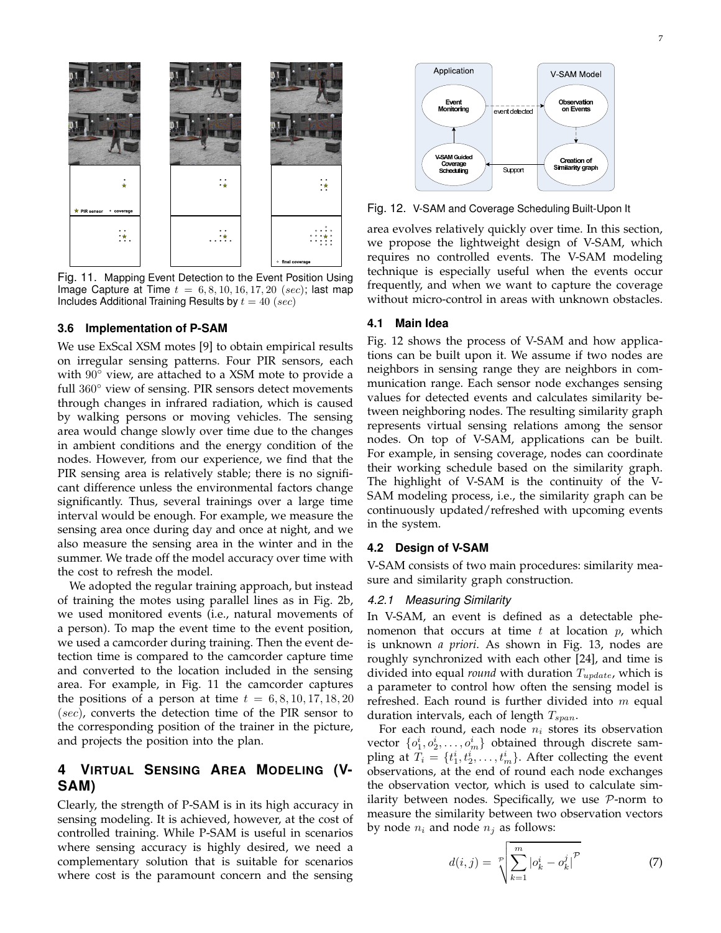

Fig. 11. Mapping Event Detection to the Event Position Using Image Capture at Time  $t = 6, 8, 10, 16, 17, 20$  (sec); last map Includes Additional Training Results by  $t = 40$  (sec)

#### **3.6 Implementation of P-SAM**

We use ExScal XSM motes [9] to obtain empirical results on irregular sensing patterns. Four PIR sensors, each with  $90^\circ$  view, are attached to a XSM mote to provide a full 360° view of sensing. PIR sensors detect movements through changes in infrared radiation, which is caused by walking persons or moving vehicles. The sensing area would change slowly over time due to the changes in ambient conditions and the energy condition of the nodes. However, from our experience, we find that the PIR sensing area is relatively stable; there is no significant difference unless the environmental factors change significantly. Thus, several trainings over a large time interval would be enough. For example, we measure the sensing area once during day and once at night, and we also measure the sensing area in the winter and in the summer. We trade off the model accuracy over time with the cost to refresh the model.

We adopted the regular training approach, but instead of training the motes using parallel lines as in Fig. 2b, we used monitored events (i.e., natural movements of a person). To map the event time to the event position, we used a camcorder during training. Then the event detection time is compared to the camcorder capture time and converted to the location included in the sensing area. For example, in Fig. 11 the camcorder captures the positions of a person at time  $t = 6, 8, 10, 17, 18, 20$ (sec), converts the detection time of the PIR sensor to the corresponding position of the trainer in the picture, and projects the position into the plan.

# **4 VIRTUAL SENSING AREA MODELING (V-SAM)**

Clearly, the strength of P-SAM is in its high accuracy in sensing modeling. It is achieved, however, at the cost of controlled training. While P-SAM is useful in scenarios where sensing accuracy is highly desired, we need a complementary solution that is suitable for scenarios where cost is the paramount concern and the sensing



Fig. 12. V-SAM and Coverage Scheduling Built-Upon It

area evolves relatively quickly over time. In this section, we propose the lightweight design of V-SAM, which requires no controlled events. The V-SAM modeling technique is especially useful when the events occur frequently, and when we want to capture the coverage without micro-control in areas with unknown obstacles.

#### **4.1 Main Idea**

Fig. 12 shows the process of V-SAM and how applications can be built upon it. We assume if two nodes are neighbors in sensing range they are neighbors in communication range. Each sensor node exchanges sensing values for detected events and calculates similarity between neighboring nodes. The resulting similarity graph represents virtual sensing relations among the sensor nodes. On top of V-SAM, applications can be built. For example, in sensing coverage, nodes can coordinate their working schedule based on the similarity graph. The highlight of V-SAM is the continuity of the V-SAM modeling process, i.e., the similarity graph can be continuously updated/refreshed with upcoming events in the system.

#### **4.2 Design of V-SAM**

V-SAM consists of two main procedures: similarity measure and similarity graph construction.

#### 4.2.1 Measuring Similarity

In V-SAM, an event is defined as a detectable phenomenon that occurs at time t at location  $p$ , which is unknown *a priori*. As shown in Fig. 13, nodes are roughly synchronized with each other [24], and time is divided into equal *round* with duration  $T_{update}$ , which is a parameter to control how often the sensing model is refreshed. Each round is further divided into  $m$  equal duration intervals, each of length  $T_{span}$ .

For each round, each node  $n_i$  stores its observation vector  $\{o_1^i, o_2^i, \ldots, o_m^i\}$  obtained through discrete sampling at  $T_i = \{t_1^i, t_2^i, \ldots, t_m^i\}$ . After collecting the event observations, at the end of round each node exchanges the observation vector, which is used to calculate similarity between nodes. Specifically, we use  $P$ -norm to measure the similarity between two observation vectors by node  $n_i$  and node  $n_j$  as follows:

$$
d(i,j) = \sqrt[2^n]{\sum_{k=1}^m |o_k^i - o_k^j|^{\mathcal{P}}}
$$
 (7)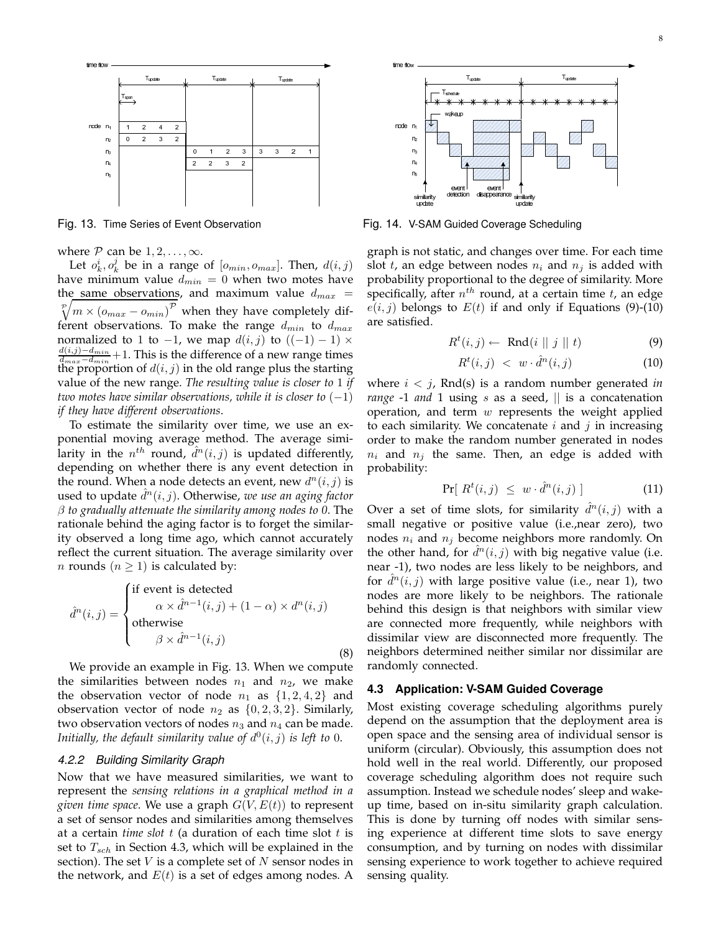

where  $P$  can be  $1, 2, \ldots, \infty$ .

Let  $o_k^i, o_k^j$  be in a range of  $[o_{min}, o_{max}]$ . Then,  $d(i, j)$ have minimum value  $d_{min} = 0$  when two motes have the same observations, and maximum value  $d_{max}$  =  $\sqrt[p]{m \times (o_{max} - o_{min})^{\mathcal{P}}}$  when they have completely different observations. To make the range  $d_{min}$  to  $d_{max}$ normalized to 1 to  $-1$ , we map  $d(i, j)$  to  $((-1) - 1) \times$  $\frac{d(i,j)-d_{min}}{d(i,j)}$  $\frac{d(l,j)-d_{min}}{d_{max}-d_{min}}+1$ . This is the difference of a new range times the proportion of  $d(i, j)$  in the old range plus the starting value of the new range. *The resulting value is closer to* 1 *if two motes have similar observations, while it is closer to* (−1) *if they have different observations*.

To estimate the similarity over time, we use an exponential moving average method. The average similarity in the  $n^{th}$  round,  $\tilde{d}^n(i, j)$  is updated differently, depending on whether there is any event detection in the round. When a node detects an event, new  $d^n(i, j)$  is used to update  $\hat{d}^n(i, j)$ . Otherwise, we use an aging factor β *to gradually attenuate the similarity among nodes to 0*. The rationale behind the aging factor is to forget the similarity observed a long time ago, which cannot accurately reflect the current situation. The average similarity over *n* rounds ( $n \geq 1$ ) is calculated by:

$$
\hat{d}^n(i,j) = \begin{cases} \text{if event is detected} \\ \alpha \times \hat{d}^{n-1}(i,j) + (1-\alpha) \times d^n(i,j) \\ \text{otherwise} \\ \beta \times \hat{d}^{n-1}(i,j) \end{cases}
$$
(8)

We provide an example in Fig. 13. When we compute the similarities between nodes  $n_1$  and  $n_2$ , we make the observation vector of node  $n_1$  as  $\{1, 2, 4, 2\}$  and observation vector of node  $n_2$  as  $\{0, 2, 3, 2\}$ . Similarly, two observation vectors of nodes  $n_3$  and  $n_4$  can be made. Initially, the default similarity value of  $d^0(i, j)$  is left to 0.

# 4.2.2 Building Similarity Graph

Now that we have measured similarities, we want to represent the *sensing relations in a graphical method in a given time space*. We use a graph  $G(V, E(t))$  to represent a set of sensor nodes and similarities among themselves at a certain *time slot* t (a duration of each time slot t is set to  $T_{sch}$  in Section 4.3, which will be explained in the section). The set  $V$  is a complete set of  $N$  sensor nodes in the network, and  $E(t)$  is a set of edges among nodes. A



Fig. 13. Time Series of Event Observation Fig. 14. V-SAM Guided Coverage Scheduling

graph is not static, and changes over time. For each time slot t, an edge between nodes  $n_i$  and  $n_j$  is added with probability proportional to the degree of similarity. More specifically, after  $n^{th}$  round, at a certain time  $t$ , an edge  $e(i, j)$  belongs to  $E(t)$  if and only if Equations (9)-(10) are satisfied.

$$
R^{t}(i,j) \leftarrow \text{ Rnd}(i \parallel j \parallel t) \tag{9}
$$

$$
R^t(i,j) \, < \, w \cdot \hat{d}^n(i,j) \tag{10}
$$

where i < j, Rnd(s) is a random number generated *in range* -1 *and* 1 using *s* as a seed,  $\parallel$  is a concatenation operation, and term  $w$  represents the weight applied to each similarity. We concatenate  $i$  and  $j$  in increasing order to make the random number generated in nodes  $n_i$  and  $n_j$  the same. Then, an edge is added with probability:

$$
\Pr[\;R^t(i,j)\;\leq\;w\cdot\hat{d}^n(i,j)\;]\qquad\qquad(11)
$$

Over a set of time slots, for similarity  $\hat{d}^n(i,j)$  with a small negative or positive value (i.e.,near zero), two nodes  $n_i$  and  $n_j$  become neighbors more randomly. On the other hand, for  $\hat{d}^n(i, j)$  with big negative value (i.e. near -1), two nodes are less likely to be neighbors, and for  $\hat{d}^n(i, j)$  with large positive value (i.e., near 1), two nodes are more likely to be neighbors. The rationale behind this design is that neighbors with similar view are connected more frequently, while neighbors with dissimilar view are disconnected more frequently. The neighbors determined neither similar nor dissimilar are randomly connected.

#### **4.3 Application: V-SAM Guided Coverage**

Most existing coverage scheduling algorithms purely depend on the assumption that the deployment area is open space and the sensing area of individual sensor is uniform (circular). Obviously, this assumption does not hold well in the real world. Differently, our proposed coverage scheduling algorithm does not require such assumption. Instead we schedule nodes' sleep and wakeup time, based on in-situ similarity graph calculation. This is done by turning off nodes with similar sensing experience at different time slots to save energy consumption, and by turning on nodes with dissimilar sensing experience to work together to achieve required sensing quality.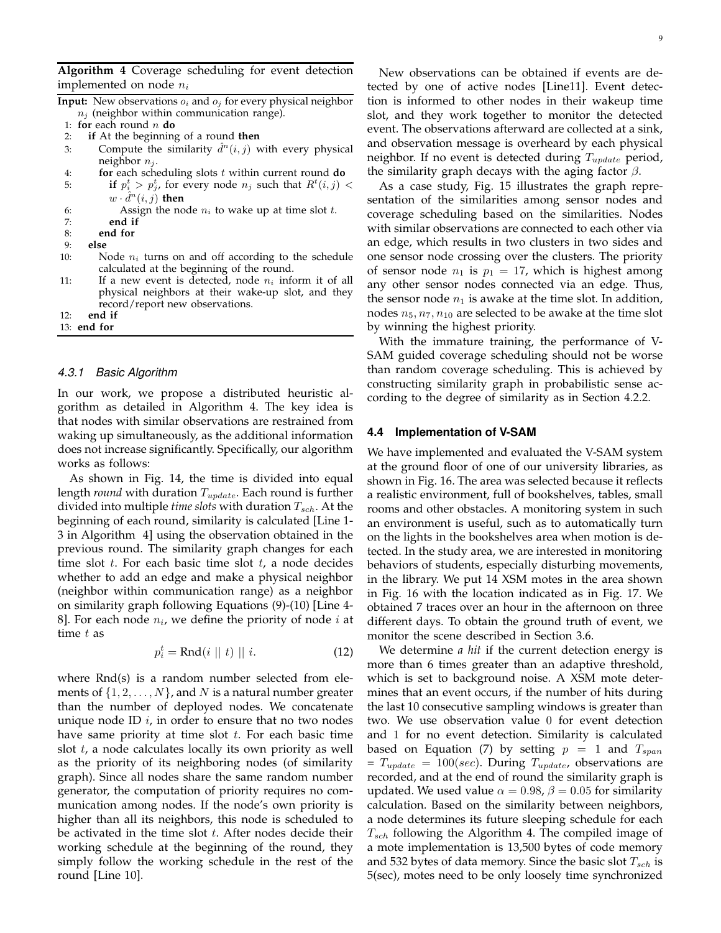**Algorithm 4** Coverage scheduling for event detection implemented on node  $n_i$ 

|     | <b>Input:</b> New observations $o_i$ and $o_j$ for every physical neighbor                                                                       |
|-----|--------------------------------------------------------------------------------------------------------------------------------------------------|
|     | $n_j$ (neighbor within communication range).                                                                                                     |
|     | 1: for each round $n$ do                                                                                                                         |
| 2:  | if At the beginning of a round then                                                                                                              |
| 3:  | Compute the similarity $\hat{d}^n(i, j)$ with every physical                                                                                     |
|     | neighbor $n_i$ .                                                                                                                                 |
| 4:  | for each scheduling slots $t$ within current round do                                                                                            |
| 5:  | if $p_i^t > p_j^t$ , for every node $n_j$ such that $R^t(i,j)$ <                                                                                 |
|     | $w \cdot d^n(i, j)$ then                                                                                                                         |
| 6:  | Assign the node $n_i$ to wake up at time slot t.                                                                                                 |
| 7:  | end if                                                                                                                                           |
| 8:  | end for                                                                                                                                          |
| 9:  | else                                                                                                                                             |
| 10: | Node $n_i$ turns on and off according to the schedule<br>calculated at the beginning of the round.                                               |
| 11: | If a new event is detected, node $n_i$ inform it of all<br>physical neighbors at their wake-up slot, and they<br>record/report new observations. |
| 12: | end if                                                                                                                                           |
|     | $13:$ end for                                                                                                                                    |

### 4.3.1 Basic Algorithm

In our work, we propose a distributed heuristic algorithm as detailed in Algorithm 4. The key idea is that nodes with similar observations are restrained from waking up simultaneously, as the additional information does not increase significantly. Specifically, our algorithm works as follows:

As shown in Fig. 14, the time is divided into equal length *round* with duration  $T_{update}$ . Each round is further divided into multiple *time slots* with duration  $T_{sch}$ . At the beginning of each round, similarity is calculated [Line 1- 3 in Algorithm 4] using the observation obtained in the previous round. The similarity graph changes for each time slot  $t$ . For each basic time slot  $t$ , a node decides whether to add an edge and make a physical neighbor (neighbor within communication range) as a neighbor on similarity graph following Equations (9)-(10) [Line 4- 8]. For each node  $n_i$ , we define the priority of node  $i$  at time  $t$  as

$$
p_i^t = \text{Rnd}(i \parallel t) \parallel i. \tag{12}
$$

where Rnd(s) is a random number selected from elements of  $\{1, 2, \ldots, N\}$ , and N is a natural number greater than the number of deployed nodes. We concatenate unique node ID  $i$ , in order to ensure that no two nodes have same priority at time slot  $t$ . For each basic time slot t, a node calculates locally its own priority as well as the priority of its neighboring nodes (of similarity graph). Since all nodes share the same random number generator, the computation of priority requires no communication among nodes. If the node's own priority is higher than all its neighbors, this node is scheduled to be activated in the time slot  $t$ . After nodes decide their working schedule at the beginning of the round, they simply follow the working schedule in the rest of the round [Line 10].

New observations can be obtained if events are detected by one of active nodes [Line11]. Event detecis informed to other nodes in their wakeup time and they work together to monitor the detected nt. The observations afterward are collected at a sink, observation message is overheard by each physical ;hbor. If no event is detected during  $T_{update}$  period, similarity graph decays with the aging factor  $\beta$ .

s a case study, Fig. 15 illustrates the graph repreation of the similarities among sensor nodes and erage scheduling based on the similarities. Nodes n similar observations are connected to each other via edge, which results in two clusters in two sides and sensor node crossing over the clusters. The priority ensor node  $n_1$  is  $p_1 = 17$ , which is highest among other sensor nodes connected via an edge. Thus, sensor node  $n_1$  is awake at the time slot. In addition, es  $n_5, n_7, n_{10}$  are selected to be awake at the time slot winning the highest priority.

Ith the immature training, the performance of V-SAM guided coverage scheduling should not be worse than random coverage scheduling. This is achieved by constructing similarity graph in probabilistic sense according to the degree of similarity as in Section 4.2.2.

# **4.4 Implementation of V-SAM**

We have implemented and evaluated the V-SAM system at the ground floor of one of our university libraries, as shown in Fig. 16. The area was selected because it reflects a realistic environment, full of bookshelves, tables, small rooms and other obstacles. A monitoring system in such an environment is useful, such as to automatically turn on the lights in the bookshelves area when motion is detected. In the study area, we are interested in monitoring behaviors of students, especially disturbing movements, in the library. We put 14 XSM motes in the area shown in Fig. 16 with the location indicated as in Fig. 17. We obtained 7 traces over an hour in the afternoon on three different days. To obtain the ground truth of event, we monitor the scene described in Section 3.6.

We determine *a hit* if the current detection energy is more than 6 times greater than an adaptive threshold, which is set to background noise. A XSM mote determines that an event occurs, if the number of hits during the last 10 consecutive sampling windows is greater than two. We use observation value 0 for event detection and 1 for no event detection. Similarity is calculated based on Equation (7) by setting  $p = 1$  and  $T_{span}$  $T_{update} = 100/sec$ ). During  $T_{update}$ , observations are recorded, and at the end of round the similarity graph is updated. We used value  $\alpha = 0.98$ ,  $\beta = 0.05$  for similarity calculation. Based on the similarity between neighbors, a node determines its future sleeping schedule for each  $T_{sch}$  following the Algorithm 4. The compiled image of a mote implementation is 13,500 bytes of code memory and 532 bytes of data memory. Since the basic slot  $T_{sch}$  is 5(sec), motes need to be only loosely time synchronized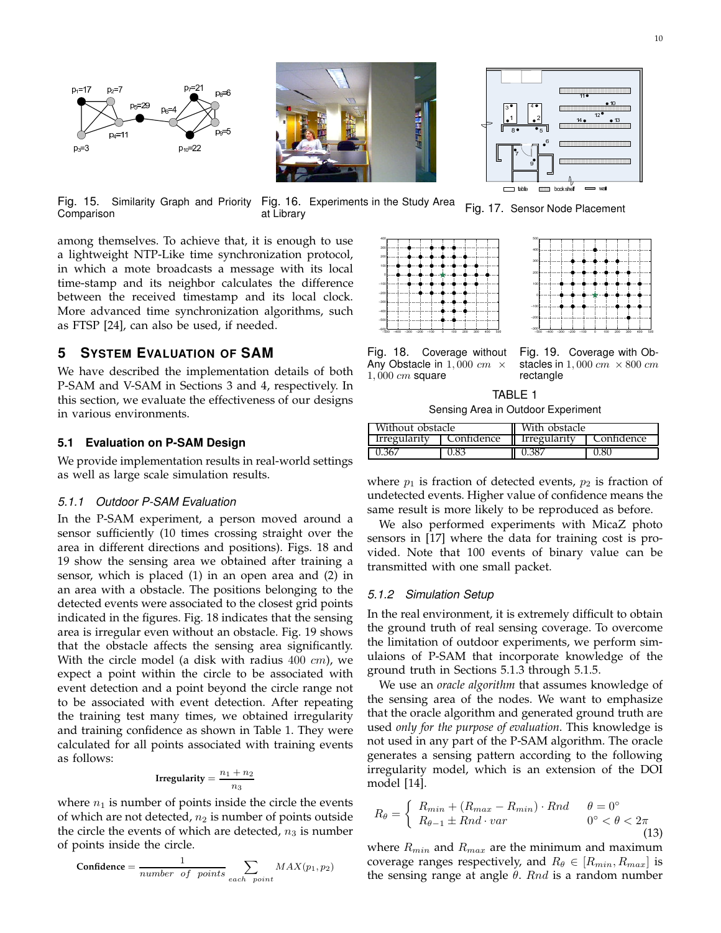

Fig. 15. Similarity Graph and Priority

Comparison



Fig. 16. Experiments in the Study Area at Library Fig. 10. Experiments in the Study Area Fig. 17. Sensor Node Placement

among themselves. To achieve that, it is enough to use a lightweight NTP-Like time synchronization protocol, in which a mote broadcasts a message with its local time-stamp and its neighbor calculates the difference between the received timestamp and its local clock. More advanced time synchronization algorithms, such as FTSP [24], can also be used, if needed.

# **5 SYSTEM EVALUATION OF SAM**

We have described the implementation details of both P-SAM and V-SAM in Sections 3 and 4, respectively. In this section, we evaluate the effectiveness of our designs in various environments.

#### **5.1 Evaluation on P-SAM Design**

We provide implementation results in real-world settings as well as large scale simulation results.

#### 5.1.1 Outdoor P-SAM Evaluation

In the P-SAM experiment, a person moved around a sensor sufficiently (10 times crossing straight over the area in different directions and positions). Figs. 18 and 19 show the sensing area we obtained after training a sensor, which is placed (1) in an open area and (2) in an area with a obstacle. The positions belonging to the detected events were associated to the closest grid points indicated in the figures. Fig. 18 indicates that the sensing area is irregular even without an obstacle. Fig. 19 shows that the obstacle affects the sensing area significantly. With the circle model (a disk with radius  $400 \, \text{cm}$ ), we expect a point within the circle to be associated with event detection and a point beyond the circle range not to be associated with event detection. After repeating the training test many times, we obtained irregularity and training confidence as shown in Table 1. They were calculated for all points associated with training events as follows:

$$
Irregularity = \frac{n_1 + n_2}{n_3}
$$

where  $n_1$  is number of points inside the circle the events of which are not detected,  $n_2$  is number of points outside the circle the events of which are detected,  $n_3$  is number of points inside the circle.

$$
Confidence = \frac{1}{number \ of \ points} \sum_{each \ point} MAX(p_1, p_2)
$$





 $\overline{11}$ 

Fig. 18. Coverage without Any Obstacle in  $1,000 \, \text{cm} \times$  $1,000$   $cm$  square

Fig. 19. Coverage with Obstacles in  $1,000 \, \text{cm} \times 800 \, \text{cm}$ rectangle

TABLE 1 Sensing Area in Outdoor Experiment

| Without obstacle    |            | With obstacle |            |  |
|---------------------|------------|---------------|------------|--|
| <i>Irregularity</i> | Confidence | Irregularity  | Confidence |  |
| $0.36\%$            | 0.83       | 0.387         | 0.8C       |  |

where  $p_1$  is fraction of detected events,  $p_2$  is fraction of undetected events. Higher value of confidence means the same result is more likely to be reproduced as before.

We also performed experiments with MicaZ photo sensors in [17] where the data for training cost is provided. Note that 100 events of binary value can be transmitted with one small packet.

#### 5.1.2 Simulation Setup

In the real environment, it is extremely difficult to obtain the ground truth of real sensing coverage. To overcome the limitation of outdoor experiments, we perform simulaions of P-SAM that incorporate knowledge of the ground truth in Sections 5.1.3 through 5.1.5.

We use an *oracle algorithm* that assumes knowledge of the sensing area of the nodes. We want to emphasize that the oracle algorithm and generated ground truth are used *only for the purpose of evaluation*. This knowledge is not used in any part of the P-SAM algorithm. The oracle generates a sensing pattern according to the following irregularity model, which is an extension of the DOI model [14].

$$
R_{\theta} = \begin{cases} R_{min} + (R_{max} - R_{min}) \cdot Rnd & \theta = 0^{\circ} \\ R_{\theta - 1} \pm Rnd \cdot var & 0^{\circ} < \theta < 2\pi \end{cases}
$$
(13)

where  $R_{min}$  and  $R_{max}$  are the minimum and maximum coverage ranges respectively, and  $R_{\theta} \in [R_{min}, R_{max}]$  is the sensing range at angle  $\theta$ . Rnd is a random number

 $\Box$  table **hock**shelf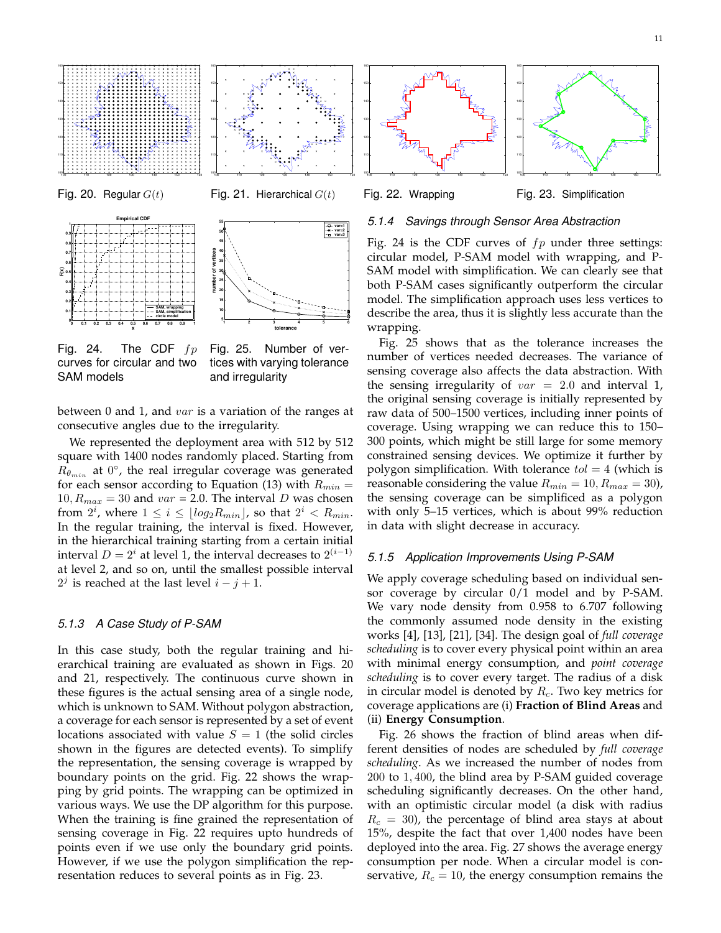



Fig. 24. The CDF  $fp$ curves for circular and two SAM models

**0 0.1 0.2 0.3 0.4 0.5 0.6 0.7 0.8 0.9 1**

**SAM, wrapping SAM, simplification circle model**

**x**

**0 0.1 0.2 0.3**

Fig. 25. Number of vertices with varying tolerance and irregularity

**1 2 3 4 5 6**

**tolerance**

between 0 and 1, and  $var$  is a variation of the ranges at consecutive angles due to the irregularity.

**5**

We represented the deployment area with 512 by 512 square with 1400 nodes randomly placed. Starting from  $R_{\theta_{min}}$  at  $0^{\circ}$ , the real irregular coverage was generated for each sensor according to Equation (13) with  $R_{min} =$  $10, R_{max} = 30$  and  $var = 2.0$ . The interval D was chosen from  $2^i$ , where  $1 \leq i \leq \lfloor log_2 R_{min} \rfloor$ , so that  $2^i < R_{min}$ . In the regular training, the interval is fixed. However, in the hierarchical training starting from a certain initial interval  $D = 2<sup>i</sup>$  at level 1, the interval decreases to  $2<sup>(i-1)</sup>$ at level 2, and so on, until the smallest possible interval  $2^j$  is reached at the last level  $i - j + 1$ .

#### 5.1.3 A Case Study of P-SAM

In this case study, both the regular training and hierarchical training are evaluated as shown in Figs. 20 and 21, respectively. The continuous curve shown in these figures is the actual sensing area of a single node, which is unknown to SAM. Without polygon abstraction, a coverage for each sensor is represented by a set of event locations associated with value  $S = 1$  (the solid circles shown in the figures are detected events). To simplify the representation, the sensing coverage is wrapped by boundary points on the grid. Fig. 22 shows the wrapping by grid points. The wrapping can be optimized in various ways. We use the DP algorithm for this purpose. When the training is fine grained the representation of sensing coverage in Fig. 22 requires upto hundreds of points even if we use only the boundary grid points. However, if we use the polygon simplification the representation reduces to several points as in Fig. 23.



Fig. 22. Wrapping

Fig. 23. Simplification

#### 5.1.4 Savings through Sensor Area Abstraction

Fig. 24 is the CDF curves of  $fp$  under three settings: circular model, P-SAM model with wrapping, and P-SAM model with simplification. We can clearly see that both P-SAM cases significantly outperform the circular model. The simplification approach uses less vertices to describe the area, thus it is slightly less accurate than the wrapping.

Fig. 25 shows that as the tolerance increases the number of vertices needed decreases. The variance of sensing coverage also affects the data abstraction. With the sensing irregularity of  $var = 2.0$  and interval 1, the original sensing coverage is initially represented by raw data of 500–1500 vertices, including inner points of coverage. Using wrapping we can reduce this to 150– 300 points, which might be still large for some memory constrained sensing devices. We optimize it further by polygon simplification. With tolerance  $tol = 4$  (which is reasonable considering the value  $R_{min} = 10, R_{max} = 30$ ), the sensing coverage can be simplificed as a polygon with only 5–15 vertices, which is about 99% reduction in data with slight decrease in accuracy.

#### 5.1.5 Application Improvements Using P-SAM

We apply coverage scheduling based on individual sensor coverage by circular 0/1 model and by P-SAM. We vary node density from 0.958 to 6.707 following the commonly assumed node density in the existing works [4], [13], [21], [34]. The design goal of *full coverage scheduling* is to cover every physical point within an area with minimal energy consumption, and *point coverage scheduling* is to cover every target. The radius of a disk in circular model is denoted by  $R_c$ . Two key metrics for coverage applications are (i) **Fraction of Blind Areas** and (ii) **Energy Consumption**.

Fig. 26 shows the fraction of blind areas when different densities of nodes are scheduled by *full coverage scheduling*. As we increased the number of nodes from 200 to 1, 400, the blind area by P-SAM guided coverage scheduling significantly decreases. On the other hand, with an optimistic circular model (a disk with radius  $R_c = 30$ , the percentage of blind area stays at about 15%, despite the fact that over 1,400 nodes have been deployed into the area. Fig. 27 shows the average energy consumption per node. When a circular model is conservative,  $R_c = 10$ , the energy consumption remains the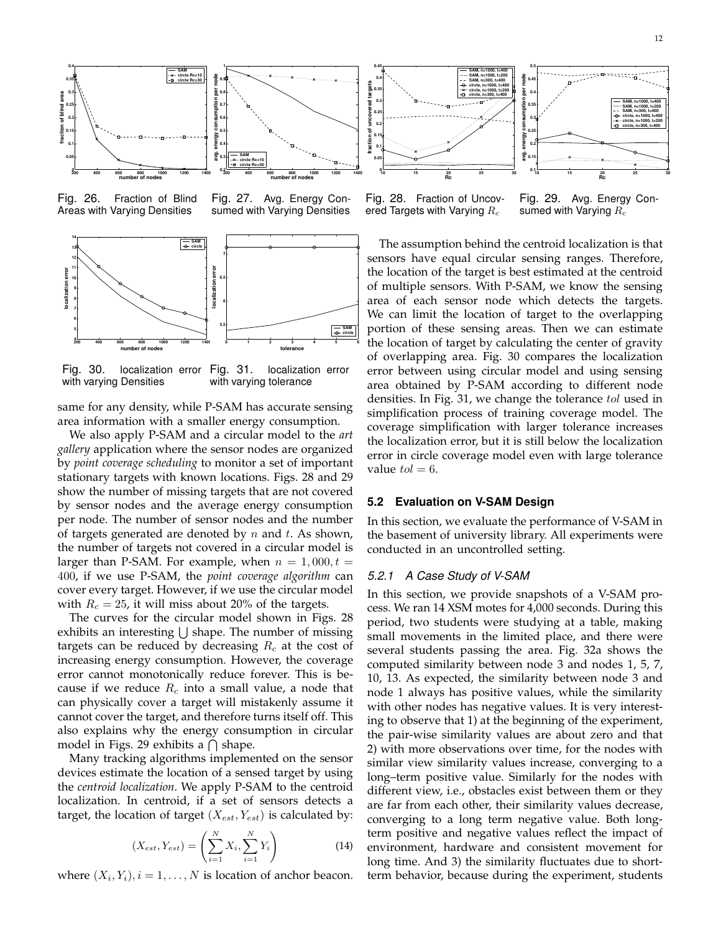

Fig. 26. Fraction of Blind Areas with Varying Densities





Fig. 30. localization error Fig. 31. with varying Densities localization error with varying tolerance

same for any density, while P-SAM has accurate sensing area information with a smaller energy consumption.

We also apply P-SAM and a circular model to the *art gallery* application where the sensor nodes are organized by *point coverage scheduling* to monitor a set of important stationary targets with known locations. Figs. 28 and 29 show the number of missing targets that are not covered by sensor nodes and the average energy consumption per node. The number of sensor nodes and the number of targets generated are denoted by  $n$  and  $t$ . As shown, the number of targets not covered in a circular model is larger than P-SAM. For example, when  $n = 1,000, t =$ 400, if we use P-SAM, the *point coverage algorithm* can cover every target. However, if we use the circular model with  $R_c = 25$ , it will miss about 20% of the targets.

The curves for the circular model shown in Figs. 28 exhibits an interesting  $\bigcup$  shape. The number of missing targets can be reduced by decreasing  $R_c$  at the cost of increasing energy consumption. However, the coverage error cannot monotonically reduce forever. This is because if we reduce  $R_c$  into a small value, a node that can physically cover a target will mistakenly assume it cannot cover the target, and therefore turns itself off. This also explains why the energy consumption in circular model in Figs. 29 exhibits a  $\bigcap$  shape.

Many tracking algorithms implemented on the sensor devices estimate the location of a sensed target by using the *centroid localization*. We apply P-SAM to the centroid localization. In centroid, if a set of sensors detects a target, the location of target ( $X_{est}, Y_{est}$ ) is calculated by:

$$
(X_{est}, Y_{est}) = \left(\sum_{i=1}^{N} X_i, \sum_{i=1}^{N} Y_i\right)
$$
 (14)

where  $(X_i, Y_i), i = 1, \ldots, N$  is location of anchor beacon.



Fig. 28. Fraction of Uncovered Targets with Varying  $R_c$ 

Fig. 29. Avg. Energy Consumed with Varying  $R_c$ 

The assumption behind the centroid localization is that sensors have equal circular sensing ranges. Therefore, the location of the target is best estimated at the centroid of multiple sensors. With P-SAM, we know the sensing area of each sensor node which detects the targets. We can limit the location of target to the overlapping portion of these sensing areas. Then we can estimate the location of target by calculating the center of gravity of overlapping area. Fig. 30 compares the localization error between using circular model and using sensing area obtained by P-SAM according to different node densities. In Fig. 31, we change the tolerance tol used in simplification process of training coverage model. The coverage simplification with larger tolerance increases the localization error, but it is still below the localization error in circle coverage model even with large tolerance value  $tol = 6$ .

#### **5.2 Evaluation on V-SAM Design**

In this section, we evaluate the performance of V-SAM in the basement of university library. All experiments were conducted in an uncontrolled setting.

#### 5.2.1 A Case Study of V-SAM

In this section, we provide snapshots of a V-SAM process. We ran 14 XSM motes for 4,000 seconds. During this period, two students were studying at a table, making small movements in the limited place, and there were several students passing the area. Fig. 32a shows the computed similarity between node 3 and nodes 1, 5, 7, 10, 13. As expected, the similarity between node 3 and node 1 always has positive values, while the similarity with other nodes has negative values. It is very interesting to observe that 1) at the beginning of the experiment, the pair-wise similarity values are about zero and that 2) with more observations over time, for the nodes with similar view similarity values increase, converging to a long–term positive value. Similarly for the nodes with different view, i.e., obstacles exist between them or they are far from each other, their similarity values decrease, converging to a long term negative value. Both longterm positive and negative values reflect the impact of environment, hardware and consistent movement for long time. And 3) the similarity fluctuates due to shortterm behavior, because during the experiment, students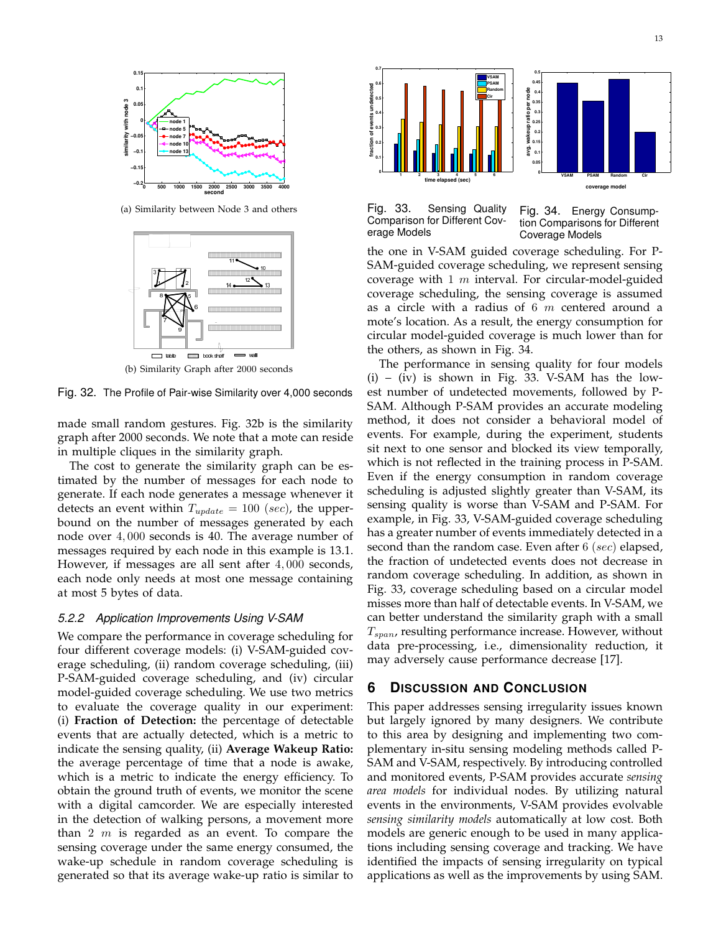

(a) Similarity between Node 3 and others



(b) Similarity Graph after 2000 seconds

Fig. 32. The Profile of Pair-wise Similarity over 4,000 seconds

made small random gestures. Fig. 32b is the similarity graph after 2000 seconds. We note that a mote can reside in multiple cliques in the similarity graph.

The cost to generate the similarity graph can be estimated by the number of messages for each node to generate. If each node generates a message whenever it detects an event within  $T_{update} = 100$  (sec), the upperbound on the number of messages generated by each node over 4, 000 seconds is 40. The average number of messages required by each node in this example is 13.1. However, if messages are all sent after 4, 000 seconds, each node only needs at most one message containing at most 5 bytes of data.

# 5.2.2 Application Improvements Using V-SAM

We compare the performance in coverage scheduling for four different coverage models: (i) V-SAM-guided coverage scheduling, (ii) random coverage scheduling, (iii) P-SAM-guided coverage scheduling, and (iv) circular model-guided coverage scheduling. We use two metrics to evaluate the coverage quality in our experiment: (i) **Fraction of Detection:** the percentage of detectable events that are actually detected, which is a metric to indicate the sensing quality, (ii) **Average Wakeup Ratio:** the average percentage of time that a node is awake, which is a metric to indicate the energy efficiency. To obtain the ground truth of events, we monitor the scene with a digital camcorder. We are especially interested in the detection of walking persons, a movement more than  $2 \, m$  is regarded as an event. To compare the sensing coverage under the same energy consumed, the wake-up schedule in random coverage scheduling is generated so that its average wake-up ratio is similar to



Fig. 33. Sensing Quality Comparison for Different Coverage Models

Fig. 34. Energy Consumption Comparisons for Different Coverage Models

the one in V-SAM guided coverage scheduling. For P-SAM-guided coverage scheduling, we represent sensing coverage with  $1 \, m$  interval. For circular-model-guided coverage scheduling, the sensing coverage is assumed as a circle with a radius of 6  $m$  centered around a mote's location. As a result, the energy consumption for circular model-guided coverage is much lower than for the others, as shown in Fig. 34.

The performance in sensing quality for four models  $(i)$  –  $(iv)$  is shown in Fig. 33. V-SAM has the lowest number of undetected movements, followed by P-SAM. Although P-SAM provides an accurate modeling method, it does not consider a behavioral model of events. For example, during the experiment, students sit next to one sensor and blocked its view temporally, which is not reflected in the training process in P-SAM. Even if the energy consumption in random coverage scheduling is adjusted slightly greater than V-SAM, its sensing quality is worse than V-SAM and P-SAM. For example, in Fig. 33, V-SAM-guided coverage scheduling has a greater number of events immediately detected in a second than the random case. Even after  $6$  (sec) elapsed, the fraction of undetected events does not decrease in random coverage scheduling. In addition, as shown in Fig. 33, coverage scheduling based on a circular model misses more than half of detectable events. In V-SAM, we can better understand the similarity graph with a small  $T_{span}$ , resulting performance increase. However, without data pre-processing, i.e., dimensionality reduction, it may adversely cause performance decrease [17].

# **6 DISCUSSION AND CONCLUSION**

This paper addresses sensing irregularity issues known but largely ignored by many designers. We contribute to this area by designing and implementing two complementary in-situ sensing modeling methods called P-SAM and V-SAM, respectively. By introducing controlled and monitored events, P-SAM provides accurate *sensing area models* for individual nodes. By utilizing natural events in the environments, V-SAM provides evolvable *sensing similarity models* automatically at low cost. Both models are generic enough to be used in many applications including sensing coverage and tracking. We have identified the impacts of sensing irregularity on typical applications as well as the improvements by using SAM.